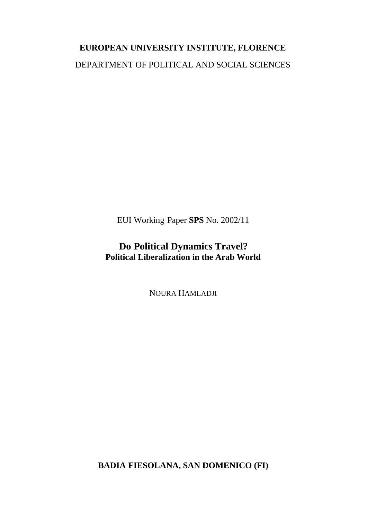# **EUROPEAN UNIVERSITY INSTITUTE, FLORENCE** DEPARTMENT OF POLITICAL AND SOCIAL SCIENCES

EUI Working Paper **SPS** No. 2002/11

## **Do Political Dynamics Travel? Political Liberalization in the Arab World**

NOURA HAMLADJI

**BADIA FIESOLANA, SAN DOMENICO (FI)**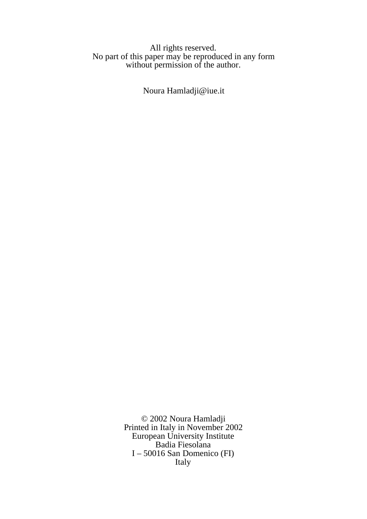#### All rights reserved. No part of this paper may be reproduced in any form without permission of the author.

Noura Hamladji@iue.it

© 2002 Noura Hamladji Printed in Italy in November 2002 European University Institute Badia Fiesolana I – 50016 San Domenico (FI) Italy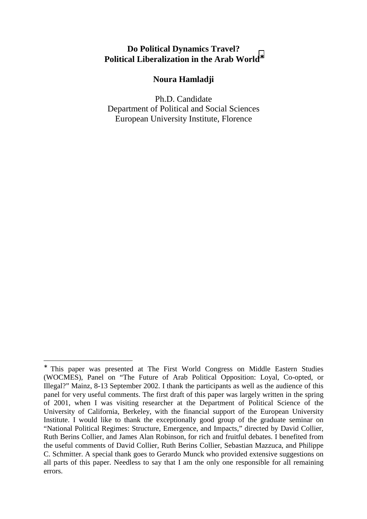## **Do Political Dynamics Travel? Political Liberalization in the Arab World**<sup>∗</sup>

#### **Noura Hamladji**

Ph.D. Candidate Department of Political and Social Sciences European University Institute, Florence

 $\overline{a}$ 

<sup>∗</sup> This paper was presented at The First World Congress on Middle Eastern Studies (WOCMES), Panel on "The Future of Arab Political Opposition: Loyal, Co-opted, or Illegal?" Mainz, 8-13 September 2002. I thank the participants as well as the audience of this panel for very useful comments. The first draft of this paper was largely written in the spring of 2001, when I was visiting researcher at the Department of Political Science of the University of California, Berkeley, with the financial support of the European University Institute. I would like to thank the exceptionally good group of the graduate seminar on "National Political Regimes: Structure, Emergence, and Impacts," directed by David Collier, Ruth Berins Collier, and James Alan Robinson, for rich and fruitful debates. I benefited from the useful comments of David Collier, Ruth Berins Collier, Sebastian Mazzuca, and Philippe C. Schmitter. A special thank goes to Gerardo Munck who provided extensive suggestions on all parts of this paper. Needless to say that I am the only one responsible for all remaining errors.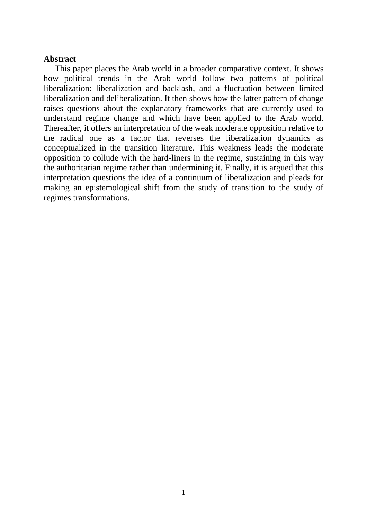#### **Abstract**

This paper places the Arab world in a broader comparative context. It shows how political trends in the Arab world follow two patterns of political liberalization: liberalization and backlash, and a fluctuation between limited liberalization and deliberalization. It then shows how the latter pattern of change raises questions about the explanatory frameworks that are currently used to understand regime change and which have been applied to the Arab world. Thereafter, it offers an interpretation of the weak moderate opposition relative to the radical one as a factor that reverses the liberalization dynamics as conceptualized in the transition literature. This weakness leads the moderate opposition to collude with the hard-liners in the regime, sustaining in this way the authoritarian regime rather than undermining it. Finally, it is argued that this interpretation questions the idea of a continuum of liberalization and pleads for making an epistemological shift from the study of transition to the study of regimes transformations.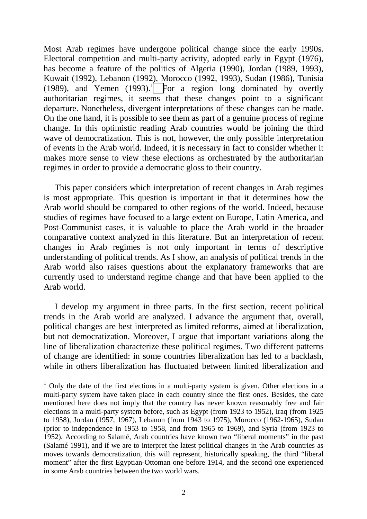Most Arab regimes have undergone political change since the early 1990s. Electoral competition and multi-party activity, adopted early in Egypt (1976), has become a feature of the politics of Algeria (1990), Jordan (1989, 1993), Kuwait (1992), Lebanon (1992), Morocco (1992, 1993), Sudan (1986), Tunisia (1989), and Yemen  $(1993)$ .<sup>1</sup> For a region long dominated by overtly authoritarian regimes, it seems that these changes point to a significant departure. Nonetheless, divergent interpretations of these changes can be made. On the one hand, it is possible to see them as part of a genuine process of regime change. In this optimistic reading Arab countries would be joining the third wave of democratization. This is not, however, the only possible interpretation of events in the Arab world. Indeed, it is necessary in fact to consider whether it makes more sense to view these elections as orchestrated by the authoritarian regimes in order to provide a democratic gloss to their country.

This paper considers which interpretation of recent changes in Arab regimes is most appropriate. This question is important in that it determines how the Arab world should be compared to other regions of the world. Indeed, because studies of regimes have focused to a large extent on Europe, Latin America, and Post-Communist cases, it is valuable to place the Arab world in the broader comparative context analyzed in this literature. But an interpretation of recent changes in Arab regimes is not only important in terms of descriptive understanding of political trends. As I show, an analysis of political trends in the Arab world also raises questions about the explanatory frameworks that are currently used to understand regime change and that have been applied to the Arab world.

I develop my argument in three parts. In the first section, recent political trends in the Arab world are analyzed. I advance the argument that, overall, political changes are best interpreted as limited reforms, aimed at liberalization, but not democratization. Moreover, I argue that important variations along the line of liberalization characterize these political regimes. Two different patterns of change are identified: in some countries liberalization has led to a backlash, while in others liberalization has fluctuated between limited liberalization and

 $\overline{a}$ 

 $1$  Only the date of the first elections in a multi-party system is given. Other elections in a multi-party system have taken place in each country since the first ones. Besides, the date mentioned here does not imply that the country has never known reasonably free and fair elections in a multi-party system before, such as Egypt (from 1923 to 1952), Iraq (from 1925 to 1958), Jordan (1957, 1967), Lebanon (from 1943 to 1975), Morocco (1962-1965), Sudan (prior to independence in 1953 to 1958, and from 1965 to 1969), and Syria (from 1923 to 1952). According to Salamé, Arab countries have known two "liberal moments" in the past (Salamé 1991), and if we are to interpret the latest political changes in the Arab countries as moves towards democratization, this will represent, historically speaking, the third "liberal moment" after the first Egyptian-Ottoman one before 1914, and the second one experienced in some Arab countries between the two world wars.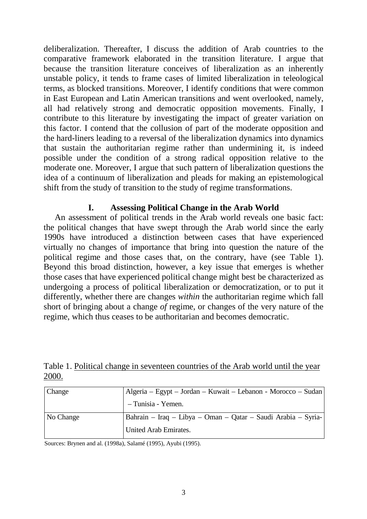deliberalization. Thereafter, I discuss the addition of Arab countries to the comparative framework elaborated in the transition literature. I argue that because the transition literature conceives of liberalization as an inherently unstable policy, it tends to frame cases of limited liberalization in teleological terms, as blocked transitions. Moreover, I identify conditions that were common in East European and Latin American transitions and went overlooked, namely, all had relatively strong and democratic opposition movements. Finally, I contribute to this literature by investigating the impact of greater variation on this factor. I contend that the collusion of part of the moderate opposition and the hard-liners leading to a reversal of the liberalization dynamics into dynamics that sustain the authoritarian regime rather than undermining it, is indeed possible under the condition of a strong radical opposition relative to the moderate one. Moreover, I argue that such pattern of liberalization questions the idea of a continuum of liberalization and pleads for making an epistemological shift from the study of transition to the study of regime transformations.

#### **I. Assessing Political Change in the Arab World**

An assessment of political trends in the Arab world reveals one basic fact: the political changes that have swept through the Arab world since the early 1990s have introduced a distinction between cases that have experienced virtually no changes of importance that bring into question the nature of the political regime and those cases that, on the contrary, have (see Table 1). Beyond this broad distinction, however, a key issue that emerges is whether those cases that have experienced political change might best be characterized as undergoing a process of political liberalization or democratization, or to put it differently, whether there are changes *within* the authoritarian regime which fall short of bringing about a change *of* regime, or changes of the very nature of the regime, which thus ceases to be authoritarian and becomes democratic.

|       |  | Table 1. Political change in seventeen countries of the Arab world until the year |  |  |  |
|-------|--|-----------------------------------------------------------------------------------|--|--|--|
| 2000. |  |                                                                                   |  |  |  |

| <b>Change</b> | Algeria – Egypt – Jordan – Kuwait – Lebanon - Morocco – Sudan |
|---------------|---------------------------------------------------------------|
|               | - Tunisia - Yemen.                                            |
| No Change     | Bahrain – Iraq – Libya – Oman – Qatar – Saudi Arabia – Syria- |
|               | United Arab Emirates.                                         |

Sources: Brynen and al. (1998a), Salamé (1995), Ayubi (1995).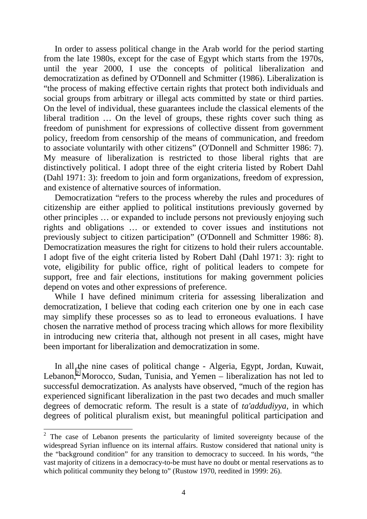In order to assess political change in the Arab world for the period starting from the late 1980s, except for the case of Egypt which starts from the 1970s, until the year 2000, I use the concepts of political liberalization and democratization as defined by O'Donnell and Schmitter (1986). Liberalization is "the process of making effective certain rights that protect both individuals and social groups from arbitrary or illegal acts committed by state or third parties. On the level of individual, these guarantees include the classical elements of the liberal tradition … On the level of groups, these rights cover such thing as freedom of punishment for expressions of collective dissent from government policy, freedom from censorship of the means of communication, and freedom to associate voluntarily with other citizens" (O'Donnell and Schmitter 1986: 7). My measure of liberalization is restricted to those liberal rights that are distinctively political. I adopt three of the eight criteria listed by Robert Dahl (Dahl 1971: 3): freedom to join and form organizations, freedom of expression, and existence of alternative sources of information.

Democratization "refers to the process whereby the rules and procedures of citizenship are either applied to political institutions previously governed by other principles … or expanded to include persons not previously enjoying such rights and obligations … or extended to cover issues and institutions not previously subject to citizen participation" (O'Donnell and Schmitter 1986: 8). Democratization measures the right for citizens to hold their rulers accountable. I adopt five of the eight criteria listed by Robert Dahl (Dahl 1971: 3): right to vote, eligibility for public office, right of political leaders to compete for support, free and fair elections, institutions for making government policies depend on votes and other expressions of preference.

While I have defined minimum criteria for assessing liberalization and democratization, I believe that coding each criterion one by one in each case may simplify these processes so as to lead to erroneous evaluations. I have chosen the narrative method of process tracing which allows for more flexibility in introducing new criteria that, although not present in all cases, might have been important for liberalization and democratization in some.

In all the nine cases of political change - Algeria, Egypt, Jordan, Kuwait, Lebanon,<sup>2</sup> Morocco, Sudan, Tunisia, and Yemen – liberalization has not led to successful democratization. As analysts have observed, "much of the region has experienced significant liberalization in the past two decades and much smaller degrees of democratic reform. The result is a state of *ta'addudiyya*, in which degrees of political pluralism exist, but meaningful political participation and

<sup>&</sup>lt;sup>2</sup> The case of Lebanon presents the particularity of limited sovereignty because of the widespread Syrian influence on its internal affairs. Rustow considered that national unity is the "background condition" for any transition to democracy to succeed. In his words, "the vast majority of citizens in a democracy-to-be must have no doubt or mental reservations as to which political community they belong to" (Rustow 1970, reedited in 1999: 26).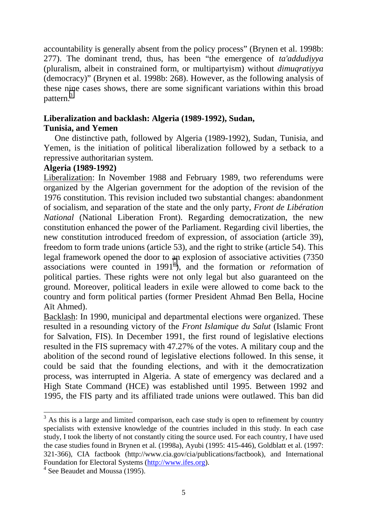accountability is generally absent from the policy process" (Brynen et al. 1998b: 277). The dominant trend, thus, has been "the emergence of *ta'addudiyya* (pluralism, albeit in constrained form, or multipartyism) without *dimuqratiyya* (democracy)" (Brynen et al. 1998b: 268). However, as the following analysis of these nine cases shows, there are some significant variations within this broad pattern.<sup>3</sup>

## **Liberalization and backlash: Algeria (1989-1992), Sudan,**

## **Tunisia, and Yemen**

One distinctive path, followed by Algeria (1989-1992), Sudan, Tunisia, and Yemen, is the initiation of political liberalization followed by a setback to a repressive authoritarian system.

#### **Algeria (1989-1992)**

Liberalization: In November 1988 and February 1989, two referendums were organized by the Algerian government for the adoption of the revision of the 1976 constitution. This revision included two substantial changes: abandonment of socialism, and separation of the state and the only party, *Front de Libération National* (National Liberation Front). Regarding democratization, the new constitution enhanced the power of the Parliament. Regarding civil liberties, the new constitution introduced freedom of expression, of association (article 39), freedom to form trade unions (article 53), and the right to strike (article 54). This legal framework opened the door to an explosion of associative activities (7350 associations were counted in 1991<sup>4</sup>), and the formation or *reformation* of political parties. These rights were not only legal but also guaranteed on the ground. Moreover, political leaders in exile were allowed to come back to the country and form political parties (former President Ahmad Ben Bella, Hocine Aït Ahmed).

Backlash: In 1990, municipal and departmental elections were organized. These resulted in a resounding victory of the *Front Islamique du Salut* (Islamic Front for Salvation, FIS). In December 1991, the first round of legislative elections resulted in the FIS supremacy with 47.27% of the votes. A military coup and the abolition of the second round of legislative elections followed. In this sense, it could be said that the founding elections, and with it the democratization process, was interrupted in Algeria. A state of emergency was declared and a High State Command (HCE) was established until 1995. Between 1992 and 1995, the FIS party and its affiliated trade unions were outlawed. This ban did

 $\overline{a}$ 

 $3$  As this is a large and limited comparison, each case study is open to refinement by country specialists with extensive knowledge of the countries included in this study. In each case study, I took the liberty of not constantly citing the source used. For each country, I have used the case studies found in Brynen et al. (1998a), Ayubi (1995: 415-446), Goldblatt et al. (1997: 321-366), CIA factbook (http://www.cia.gov/cia/publications/factbook), and International Foundation for Electoral Systems (http://www.ifes.org).

<sup>&</sup>lt;sup>4</sup> See Beaudet and Moussa (1995).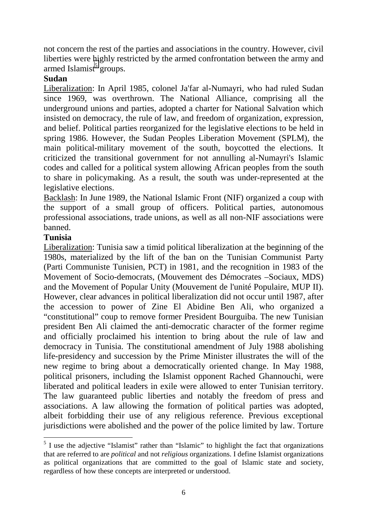not concern the rest of the parties and associations in the country. However, civil liberties were highly restricted by the armed confrontation between the army and armed Islamist<sup>5</sup> groups.

## **Sudan**

Liberalization: In April 1985, colonel Ja'far al-Numayri, who had ruled Sudan since 1969, was overthrown. The National Alliance, comprising all the underground unions and parties, adopted a charter for National Salvation which insisted on democracy, the rule of law, and freedom of organization, expression, and belief. Political parties reorganized for the legislative elections to be held in spring 1986. However, the Sudan Peoples Liberation Movement (SPLM), the main political-military movement of the south, boycotted the elections. It criticized the transitional government for not annulling al-Numayri's Islamic codes and called for a political system allowing African peoples from the south to share in policymaking. As a result, the south was under-represented at the legislative elections.

Backlash: In June 1989, the National Islamic Front (NIF) organized a coup with the support of a small group of officers. Political parties, autonomous professional associations, trade unions, as well as all non-NIF associations were banned.

## **Tunisia**

Liberalization: Tunisia saw a timid political liberalization at the beginning of the 1980s, materialized by the lift of the ban on the Tunisian Communist Party (Parti Communiste Tunisien, PCT) in 1981, and the recognition in 1983 of the Movement of Socio-democrats, (Mouvement des Démocrates –Sociaux, MDS) and the Movement of Popular Unity (Mouvement de l'unité Populaire, MUP II). However, clear advances in political liberalization did not occur until 1987, after the accession to power of Zine El Abidine Ben Ali, who organized a "constitutional" coup to remove former President Bourguiba. The new Tunisian president Ben Ali claimed the anti-democratic character of the former regime and officially proclaimed his intention to bring about the rule of law and democracy in Tunisia. The constitutional amendment of July 1988 abolishing life-presidency and succession by the Prime Minister illustrates the will of the new regime to bring about a democratically oriented change. In May 1988, political prisoners, including the Islamist opponent Rached Ghannouchi, were liberated and political leaders in exile were allowed to enter Tunisian territory. The law guaranteed public liberties and notably the freedom of press and associations. A law allowing the formation of political parties was adopted, albeit forbidding their use of any religious reference. Previous exceptional jurisdictions were abolished and the power of the police limited by law. Torture

 $\overline{a}$  $<sup>5</sup>$  I use the adjective "Islamist" rather than "Islamic" to highlight the fact that organizations</sup> that are referred to are *political* and not *religious* organizations. I define Islamist organizations as political organizations that are committed to the goal of Islamic state and society, regardless of how these concepts are interpreted or understood.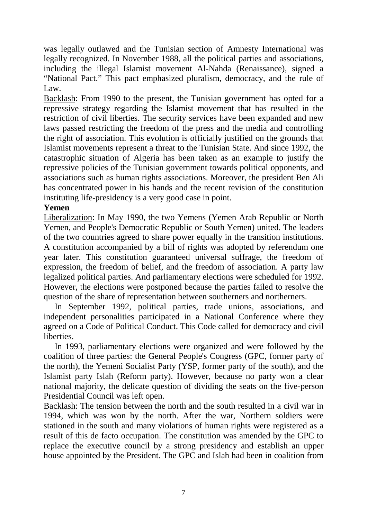was legally outlawed and the Tunisian section of Amnesty International was legally recognized. In November 1988, all the political parties and associations, including the illegal Islamist movement Al-Nahda (Renaissance), signed a "National Pact." This pact emphasized pluralism, democracy, and the rule of Law.

Backlash: From 1990 to the present, the Tunisian government has opted for a repressive strategy regarding the Islamist movement that has resulted in the restriction of civil liberties. The security services have been expanded and new laws passed restricting the freedom of the press and the media and controlling the right of association. This evolution is officially justified on the grounds that Islamist movements represent a threat to the Tunisian State. And since 1992, the catastrophic situation of Algeria has been taken as an example to justify the repressive policies of the Tunisian government towards political opponents, and associations such as human rights associations. Moreover, the president Ben Ali has concentrated power in his hands and the recent revision of the constitution instituting life-presidency is a very good case in point.

#### **Yemen**

Liberalization: In May 1990, the two Yemens (Yemen Arab Republic or North Yemen, and People's Democratic Republic or South Yemen) united. The leaders of the two countries agreed to share power equally in the transition institutions. A constitution accompanied by a bill of rights was adopted by referendum one year later. This constitution guaranteed universal suffrage, the freedom of expression, the freedom of belief, and the freedom of association. A party law legalized political parties. And parliamentary elections were scheduled for 1992. However, the elections were postponed because the parties failed to resolve the question of the share of representation between southerners and northerners.

In September 1992, political parties, trade unions, associations, and independent personalities participated in a National Conference where they agreed on a Code of Political Conduct. This Code called for democracy and civil liberties.

In 1993, parliamentary elections were organized and were followed by the coalition of three parties: the General People's Congress (GPC, former party of the north), the Yemeni Socialist Party (YSP, former party of the south), and the Islamist party Islah (Reform party). However, because no party won a clear national majority, the delicate question of dividing the seats on the five-person Presidential Council was left open.

Backlash: The tension between the north and the south resulted in a civil war in 1994, which was won by the north. After the war, Northern soldiers were stationed in the south and many violations of human rights were registered as a result of this de facto occupation. The constitution was amended by the GPC to replace the executive council by a strong presidency and establish an upper house appointed by the President. The GPC and Islah had been in coalition from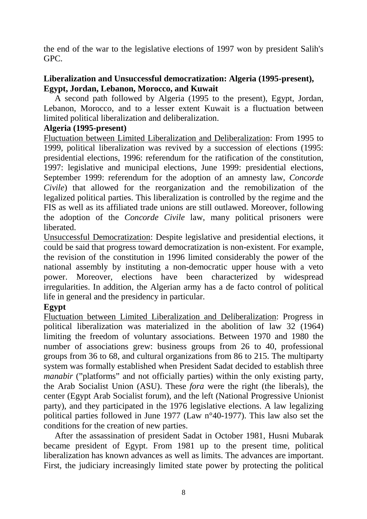the end of the war to the legislative elections of 1997 won by president Salih's GPC.

## **Liberalization and Unsuccessful democratization: Algeria (1995-present), Egypt, Jordan, Lebanon, Morocco, and Kuwait**

A second path followed by Algeria (1995 to the present), Egypt, Jordan, Lebanon, Morocco, and to a lesser extent Kuwait is a fluctuation between limited political liberalization and deliberalization.

## **Algeria (1995-present)**

Fluctuation between Limited Liberalization and Deliberalization: From 1995 to 1999, political liberalization was revived by a succession of elections (1995: presidential elections, 1996: referendum for the ratification of the constitution, 1997: legislative and municipal elections, June 1999: presidential elections, September 1999: referendum for the adoption of an amnesty law, *Concorde Civile*) that allowed for the reorganization and the remobilization of the legalized political parties. This liberalization is controlled by the regime and the FIS as well as its affiliated trade unions are still outlawed. Moreover, following the adoption of the *Concorde Civile* law, many political prisoners were liberated.

Unsuccessful Democratization: Despite legislative and presidential elections, it could be said that progress toward democratization is non-existent. For example, the revision of the constitution in 1996 limited considerably the power of the national assembly by instituting a non-democratic upper house with a veto power. Moreover, elections have been characterized by widespread irregularities. In addition, the Algerian army has a de facto control of political life in general and the presidency in particular.

## **Egypt**

Fluctuation between Limited Liberalization and Deliberalization: Progress in political liberalization was materialized in the abolition of law 32 (1964) limiting the freedom of voluntary associations. Between 1970 and 1980 the number of associations grew: business groups from 26 to 40, professional groups from 36 to 68, and cultural organizations from 86 to 215. The multiparty system was formally established when President Sadat decided to establish three *manabir* ("platforms" and not officially parties) within the only existing party, the Arab Socialist Union (ASU). These *fora* were the right (the liberals), the center (Egypt Arab Socialist forum), and the left (National Progressive Unionist party), and they participated in the 1976 legislative elections. A law legalizing political parties followed in June 1977 (Law n°40-1977). This law also set the conditions for the creation of new parties.

After the assassination of president Sadat in October 1981, Husni Mubarak became president of Egypt. From 1981 up to the present time, political liberalization has known advances as well as limits. The advances are important. First, the judiciary increasingly limited state power by protecting the political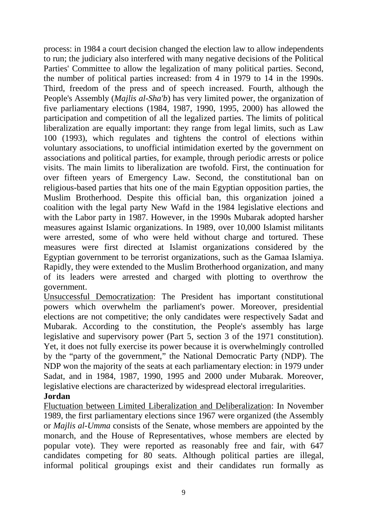process: in 1984 a court decision changed the election law to allow independents to run; the judiciary also interfered with many negative decisions of the Political Parties' Committee to allow the legalization of many political parties. Second, the number of political parties increased: from 4 in 1979 to 14 in the 1990s. Third, freedom of the press and of speech increased. Fourth, although the People's Assembly (*Majlis al-Sha'b*) has very limited power, the organization of five parliamentary elections (1984, 1987, 1990, 1995, 2000) has allowed the participation and competition of all the legalized parties. The limits of political liberalization are equally important: they range from legal limits, such as Law 100 (1993), which regulates and tightens the control of elections within voluntary associations, to unofficial intimidation exerted by the government on associations and political parties, for example, through periodic arrests or police visits. The main limits to liberalization are twofold. First, the continuation for over fifteen years of Emergency Law. Second, the constitutional ban on religious-based parties that hits one of the main Egyptian opposition parties, the Muslim Brotherhood. Despite this official ban, this organization joined a coalition with the legal party New Wafd in the 1984 legislative elections and with the Labor party in 1987. However, in the 1990s Mubarak adopted harsher measures against Islamic organizations. In 1989, over 10,000 Islamist militants were arrested, some of who were held without charge and tortured. These measures were first directed at Islamist organizations considered by the Egyptian government to be terrorist organizations, such as the Gamaa Islamiya. Rapidly, they were extended to the Muslim Brotherhood organization, and many of its leaders were arrested and charged with plotting to overthrow the government.

Unsuccessful Democratization: The President has important constitutional powers which overwhelm the parliament's power. Moreover, presidential elections are not competitive; the only candidates were respectively Sadat and Mubarak. According to the constitution, the People's assembly has large legislative and supervisory power (Part 5, section 3 of the 1971 constitution). Yet, it does not fully exercise its power because it is overwhelmingly controlled by the "party of the government," the National Democratic Party (NDP). The NDP won the majority of the seats at each parliamentary election: in 1979 under Sadat, and in 1984, 1987, 1990, 1995 and 2000 under Mubarak. Moreover, legislative elections are characterized by widespread electoral irregularities.

#### **Jordan**

Fluctuation between Limited Liberalization and Deliberalization: In November 1989, the first parliamentary elections since 1967 were organized (the Assembly or *Majlis al-Umma* consists of the Senate, whose members are appointed by the monarch, and the House of Representatives, whose members are elected by popular vote). They were reported as reasonably free and fair, with 647 candidates competing for 80 seats. Although political parties are illegal, informal political groupings exist and their candidates run formally as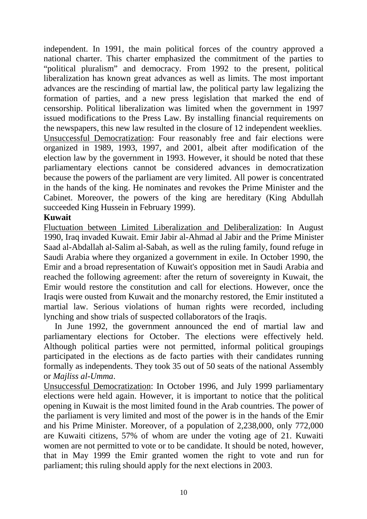independent. In 1991, the main political forces of the country approved a national charter. This charter emphasized the commitment of the parties to "political pluralism" and democracy. From 1992 to the present, political liberalization has known great advances as well as limits. The most important advances are the rescinding of martial law, the political party law legalizing the formation of parties, and a new press legislation that marked the end of censorship. Political liberalization was limited when the government in 1997 issued modifications to the Press Law. By installing financial requirements on the newspapers, this new law resulted in the closure of 12 independent weeklies. Unsuccessful Democratization: Four reasonably free and fair elections were organized in 1989, 1993, 1997, and 2001, albeit after modification of the election law by the government in 1993. However, it should be noted that these parliamentary elections cannot be considered advances in democratization because the powers of the parliament are very limited. All power is concentrated in the hands of the king. He nominates and revokes the Prime Minister and the Cabinet. Moreover, the powers of the king are hereditary (King Abdullah succeeded King Hussein in February 1999).

#### **Kuwait**

Fluctuation between Limited Liberalization and Deliberalization: In August 1990, Iraq invaded Kuwait. Emir Jabir al-Ahmad al Jabir and the Prime Minister Saad al-Abdallah al-Salim al-Sabah, as well as the ruling family, found refuge in Saudi Arabia where they organized a government in exile. In October 1990, the Emir and a broad representation of Kuwait's opposition met in Saudi Arabia and reached the following agreement: after the return of sovereignty in Kuwait, the Emir would restore the constitution and call for elections. However, once the Iraqis were ousted from Kuwait and the monarchy restored, the Emir instituted a martial law. Serious violations of human rights were recorded, including lynching and show trials of suspected collaborators of the Iraqis.

In June 1992, the government announced the end of martial law and parliamentary elections for October. The elections were effectively held. Although political parties were not permitted, informal political groupings participated in the elections as de facto parties with their candidates running formally as independents. They took 35 out of 50 seats of the national Assembly or *Majliss al-Umma*.

Unsuccessful Democratization: In October 1996, and July 1999 parliamentary elections were held again. However, it is important to notice that the political opening in Kuwait is the most limited found in the Arab countries. The power of the parliament is very limited and most of the power is in the hands of the Emir and his Prime Minister. Moreover, of a population of 2,238,000, only 772,000 are Kuwaiti citizens, 57% of whom are under the voting age of 21. Kuwaiti women are not permitted to vote or to be candidate. It should be noted, however, that in May 1999 the Emir granted women the right to vote and run for parliament; this ruling should apply for the next elections in 2003.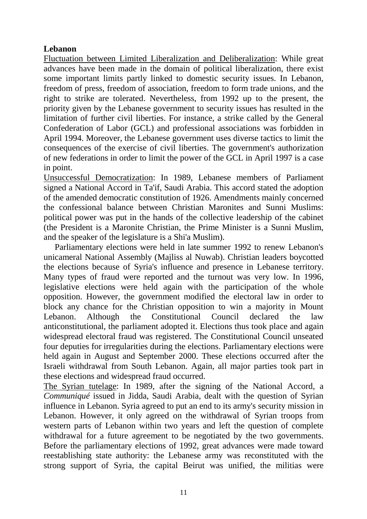## **Lebanon**

Fluctuation between Limited Liberalization and Deliberalization: While great advances have been made in the domain of political liberalization, there exist some important limits partly linked to domestic security issues. In Lebanon, freedom of press, freedom of association, freedom to form trade unions, and the right to strike are tolerated. Nevertheless, from 1992 up to the present, the priority given by the Lebanese government to security issues has resulted in the limitation of further civil liberties. For instance, a strike called by the General Confederation of Labor (GCL) and professional associations was forbidden in April 1994. Moreover, the Lebanese government uses diverse tactics to limit the consequences of the exercise of civil liberties. The government's authorization of new federations in order to limit the power of the GCL in April 1997 is a case in point.

Unsuccessful Democratization: In 1989, Lebanese members of Parliament signed a National Accord in Ta'if, Saudi Arabia. This accord stated the adoption of the amended democratic constitution of 1926. Amendments mainly concerned the confessional balance between Christian Maronites and Sunni Muslims: political power was put in the hands of the collective leadership of the cabinet (the President is a Maronite Christian, the Prime Minister is a Sunni Muslim, and the speaker of the legislature is a Shi'a Muslim).

Parliamentary elections were held in late summer 1992 to renew Lebanon's unicameral National Assembly (Majliss al Nuwab). Christian leaders boycotted the elections because of Syria's influence and presence in Lebanese territory. Many types of fraud were reported and the turnout was very low. In 1996, legislative elections were held again with the participation of the whole opposition. However, the government modified the electoral law in order to block any chance for the Christian opposition to win a majority in Mount Lebanon. Although the Constitutional Council declared the law anticonstitutional, the parliament adopted it. Elections thus took place and again widespread electoral fraud was registered. The Constitutional Council unseated four deputies for irregularities during the elections. Parliamentary elections were held again in August and September 2000. These elections occurred after the Israeli withdrawal from South Lebanon. Again, all major parties took part in these elections and widespread fraud occurred.

The Syrian tutelage: In 1989, after the signing of the National Accord, a *Communiqué* issued in Jidda, Saudi Arabia, dealt with the question of Syrian influence in Lebanon. Syria agreed to put an end to its army's security mission in Lebanon. However, it only agreed on the withdrawal of Syrian troops from western parts of Lebanon within two years and left the question of complete withdrawal for a future agreement to be negotiated by the two governments. Before the parliamentary elections of 1992, great advances were made toward reestablishing state authority: the Lebanese army was reconstituted with the strong support of Syria, the capital Beirut was unified, the militias were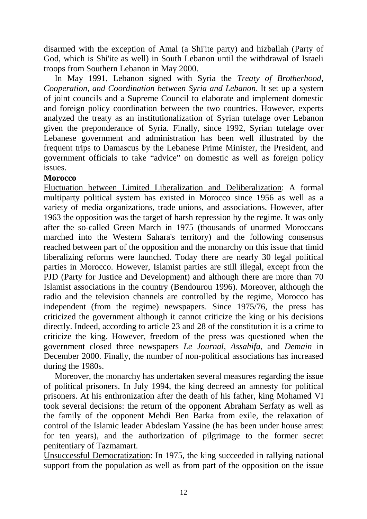disarmed with the exception of Amal (a Shi'ite party) and hizballah (Party of God, which is Shi'ite as well) in South Lebanon until the withdrawal of Israeli troops from Southern Lebanon in May 2000.

In May 1991, Lebanon signed with Syria the *Treaty of Brotherhood, Cooperation, and Coordination between Syria and Lebanon*. It set up a system of joint councils and a Supreme Council to elaborate and implement domestic and foreign policy coordination between the two countries. However, experts analyzed the treaty as an institutionalization of Syrian tutelage over Lebanon given the preponderance of Syria. Finally, since 1992, Syrian tutelage over Lebanese government and administration has been well illustrated by the frequent trips to Damascus by the Lebanese Prime Minister, the President, and government officials to take "advice" on domestic as well as foreign policy issues.

## **Morocco**

Fluctuation between Limited Liberalization and Deliberalization: A formal multiparty political system has existed in Morocco since 1956 as well as a variety of media organizations, trade unions, and associations. However, after 1963 the opposition was the target of harsh repression by the regime. It was only after the so-called Green March in 1975 (thousands of unarmed Moroccans marched into the Western Sahara's territory) and the following consensus reached between part of the opposition and the monarchy on this issue that timid liberalizing reforms were launched. Today there are nearly 30 legal political parties in Morocco. However, Islamist parties are still illegal, except from the PJD (Party for Justice and Development) and although there are more than 70 Islamist associations in the country (Bendourou 1996). Moreover, although the radio and the television channels are controlled by the regime, Morocco has independent (from the regime) newspapers. Since 1975/76, the press has criticized the government although it cannot criticize the king or his decisions directly. Indeed, according to article 23 and 28 of the constitution it is a crime to criticize the king. However, freedom of the press was questioned when the government closed three newspapers *Le Journal*, *Assahifa*, and *Demain* in December 2000. Finally, the number of non-political associations has increased during the 1980s.

Moreover, the monarchy has undertaken several measures regarding the issue of political prisoners. In July 1994, the king decreed an amnesty for political prisoners. At his enthronization after the death of his father, king Mohamed VI took several decisions: the return of the opponent Abraham Serfaty as well as the family of the opponent Mehdi Ben Barka from exile, the relaxation of control of the Islamic leader Abdeslam Yassine (he has been under house arrest for ten years), and the authorization of pilgrimage to the former secret penitentiary of Tazmamart.

Unsuccessful Democratization: In 1975, the king succeeded in rallying national support from the population as well as from part of the opposition on the issue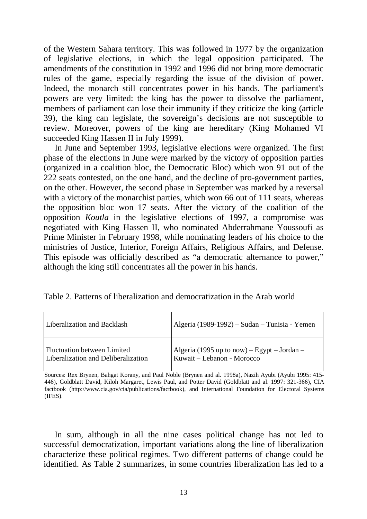of the Western Sahara territory. This was followed in 1977 by the organization of legislative elections, in which the legal opposition participated. The amendments of the constitution in 1992 and 1996 did not bring more democratic rules of the game, especially regarding the issue of the division of power. Indeed, the monarch still concentrates power in his hands. The parliament's powers are very limited: the king has the power to dissolve the parliament, members of parliament can lose their immunity if they criticize the king (article 39), the king can legislate, the sovereign's decisions are not susceptible to review. Moreover, powers of the king are hereditary (King Mohamed VI succeeded King Hassen II in July 1999).

In June and September 1993, legislative elections were organized. The first phase of the elections in June were marked by the victory of opposition parties (organized in a coalition bloc, the Democratic Bloc) which won 91 out of the 222 seats contested, on the one hand, and the decline of pro-government parties, on the other. However, the second phase in September was marked by a reversal with a victory of the monarchist parties, which won 66 out of 111 seats, whereas the opposition bloc won 17 seats. After the victory of the coalition of the opposition *Koutla* in the legislative elections of 1997, a compromise was negotiated with King Hassen II, who nominated Abderrahmane Youssoufi as Prime Minister in February 1998, while nominating leaders of his choice to the ministries of Justice, Interior, Foreign Affairs, Religious Affairs, and Defense. This episode was officially described as "a democratic alternance to power," although the king still concentrates all the power in his hands.

| Liberalization and Backlash         | Algeria (1989-1992) – Sudan – Tunisia - Yemen |
|-------------------------------------|-----------------------------------------------|
| Fluctuation between Limited         | Algeria (1995 up to now) – Egypt – Jordan –   |
| Liberalization and Deliberalization | Kuwait – Lebanon - Morocco                    |

Sources: Rex Brynen, Bahgat Korany, and Paul Noble (Brynen and al. 1998a), Nazih Ayubi (Ayubi 1995: 415- 446), Goldblatt David, Kiloh Margaret, Lewis Paul, and Potter David (Goldblatt and al. 1997: 321-366), CIA factbook (http://www.cia.gov/cia/publications/factbook), and International Foundation for Electoral Systems (IFES).

In sum, although in all the nine cases political change has not led to successful democratization, important variations along the line of liberalization characterize these political regimes. Two different patterns of change could be identified. As Table 2 summarizes, in some countries liberalization has led to a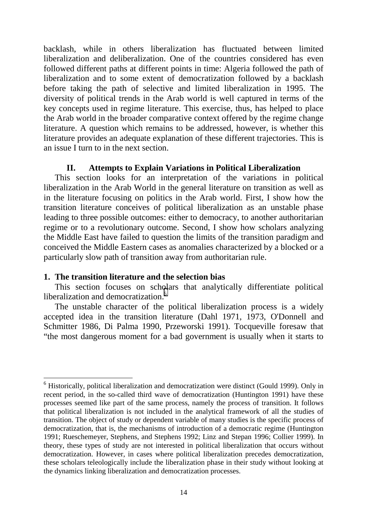backlash, while in others liberalization has fluctuated between limited liberalization and deliberalization. One of the countries considered has even followed different paths at different points in time: Algeria followed the path of liberalization and to some extent of democratization followed by a backlash before taking the path of selective and limited liberalization in 1995. The diversity of political trends in the Arab world is well captured in terms of the key concepts used in regime literature. This exercise, thus, has helped to place the Arab world in the broader comparative context offered by the regime change literature. A question which remains to be addressed, however, is whether this literature provides an adequate explanation of these different trajectories. This is an issue I turn to in the next section.

## **II. Attempts to Explain Variations in Political Liberalization**

This section looks for an interpretation of the variations in political liberalization in the Arab World in the general literature on transition as well as in the literature focusing on politics in the Arab world. First, I show how the transition literature conceives of political liberalization as an unstable phase leading to three possible outcomes: either to democracy, to another authoritarian regime or to a revolutionary outcome. Second, I show how scholars analyzing the Middle East have failed to question the limits of the transition paradigm and conceived the Middle Eastern cases as anomalies characterized by a blocked or a particularly slow path of transition away from authoritarian rule.

#### **1. The transition literature and the selection bias**

 $\overline{a}$ 

This section focuses on scholars that analytically differentiate political liberalization and democratization.<sup>6</sup>

The unstable character of the political liberalization process is a widely accepted idea in the transition literature (Dahl 1971, 1973, O'Donnell and Schmitter 1986, Di Palma 1990, Przeworski 1991). Tocqueville foresaw that "the most dangerous moment for a bad government is usually when it starts to

<sup>&</sup>lt;sup>6</sup> Historically, political liberalization and democratization were distinct (Gould 1999). Only in recent period, in the so-called third wave of democratization (Huntington 1991) have these processes seemed like part of the same process, namely the process of transition. It follows that political liberalization is not included in the analytical framework of all the studies of transition. The object of study or dependent variable of many studies is the specific process of democratization, that is, the mechanisms of introduction of a democratic regime (Huntington 1991; Rueschemeyer, Stephens, and Stephens 1992; Linz and Stepan 1996; Collier 1999). In theory, these types of study are not interested in political liberalization that occurs without democratization. However, in cases where political liberalization precedes democratization, these scholars teleologically include the liberalization phase in their study without looking at the dynamics linking liberalization and democratization processes.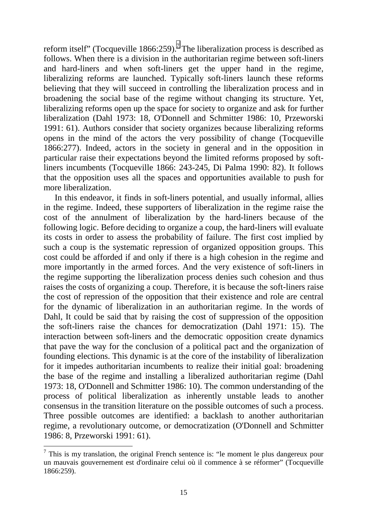reform itself" (Tocqueville 1866:259).<sup>7</sup> The liberalization process is described as follows. When there is a division in the authoritarian regime between soft-liners and hard-liners and when soft-liners get the upper hand in the regime, liberalizing reforms are launched. Typically soft-liners launch these reforms believing that they will succeed in controlling the liberalization process and in broadening the social base of the regime without changing its structure. Yet, liberalizing reforms open up the space for society to organize and ask for further liberalization (Dahl 1973: 18, O'Donnell and Schmitter 1986: 10, Przeworski 1991: 61). Authors consider that society organizes because liberalizing reforms opens in the mind of the actors the very possibility of change (Tocqueville 1866:277). Indeed, actors in the society in general and in the opposition in particular raise their expectations beyond the limited reforms proposed by softliners incumbents (Tocqueville 1866: 243-245, Di Palma 1990: 82). It follows that the opposition uses all the spaces and opportunities available to push for more liberalization.

In this endeavor, it finds in soft-liners potential, and usually informal, allies in the regime. Indeed, these supporters of liberalization in the regime raise the cost of the annulment of liberalization by the hard-liners because of the following logic. Before deciding to organize a coup, the hard-liners will evaluate its costs in order to assess the probability of failure. The first cost implied by such a coup is the systematic repression of organized opposition groups. This cost could be afforded if and only if there is a high cohesion in the regime and more importantly in the armed forces. And the very existence of soft-liners in the regime supporting the liberalization process denies such cohesion and thus raises the costs of organizing a coup. Therefore, it is because the soft-liners raise the cost of repression of the opposition that their existence and role are central for the dynamic of liberalization in an authoritarian regime. In the words of Dahl, It could be said that by raising the cost of suppression of the opposition the soft-liners raise the chances for democratization (Dahl 1971: 15). The interaction between soft-liners and the democratic opposition create dynamics that pave the way for the conclusion of a political pact and the organization of founding elections. This dynamic is at the core of the instability of liberalization for it impedes authoritarian incumbents to realize their initial goal: broadening the base of the regime and installing a liberalized authoritarian regime (Dahl 1973: 18, O'Donnell and Schmitter 1986: 10). The common understanding of the process of political liberalization as inherently unstable leads to another consensus in the transition literature on the possible outcomes of such a process. Three possible outcomes are identified: a backlash to another authoritarian regime, a revolutionary outcome, or democratization (O'Donnell and Schmitter 1986: 8, Przeworski 1991: 61).

 $\overline{a}$ 

 $<sup>7</sup>$  This is my translation, the original French sentence is: "le moment le plus dangereux pour</sup> un mauvais gouvernement est d'ordinaire celui où il commence à se réformer" (Tocqueville 1866:259).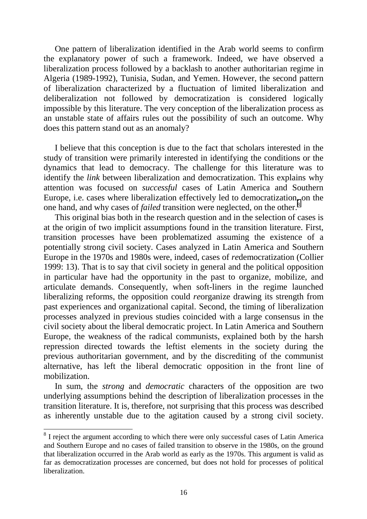One pattern of liberalization identified in the Arab world seems to confirm the explanatory power of such a framework. Indeed, we have observed a liberalization process followed by a backlash to another authoritarian regime in Algeria (1989-1992), Tunisia, Sudan, and Yemen. However, the second pattern of liberalization characterized by a fluctuation of limited liberalization and deliberalization not followed by democratization is considered logically impossible by this literature. The very conception of the liberalization process as an unstable state of affairs rules out the possibility of such an outcome. Why does this pattern stand out as an anomaly?

I believe that this conception is due to the fact that scholars interested in the study of transition were primarily interested in identifying the conditions or the dynamics that lead to democracy. The challenge for this literature was to identify the *link* between liberalization and democratization. This explains why attention was focused on *successful* cases of Latin America and Southern Europe, i.e. cases where liberalization effectively led to democratization, on the one hand, and why cases of *failed* transition were neglected, on the other.<sup>8</sup>

This original bias both in the research question and in the selection of cases is at the origin of two implicit assumptions found in the transition literature. First, transition processes have been problematized assuming the existence of a potentially strong civil society. Cases analyzed in Latin America and Southern Europe in the 1970s and 1980s were, indeed, cases of *re*democratization (Collier 1999: 13). That is to say that civil society in general and the political opposition in particular have had the opportunity in the past to organize, mobilize, and articulate demands. Consequently, when soft-liners in the regime launched liberalizing reforms, the opposition could *re*organize drawing its strength from past experiences and organizational capital. Second, the timing of liberalization processes analyzed in previous studies coincided with a large consensus in the civil society about the liberal democratic project. In Latin America and Southern Europe, the weakness of the radical communists, explained both by the harsh repression directed towards the leftist elements in the society during the previous authoritarian government, and by the discrediting of the communist alternative, has left the liberal democratic opposition in the front line of mobilization.

In sum, the *strong* and *democratic* characters of the opposition are two underlying assumptions behind the description of liberalization processes in the transition literature. It is, therefore, not surprising that this process was described as inherently unstable due to the agitation caused by a strong civil society.

 $\overline{a}$ 

<sup>&</sup>lt;sup>8</sup> I reject the argument according to which there were only successful cases of Latin America and Southern Europe and no cases of failed transition to observe in the 1980s, on the ground that liberalization occurred in the Arab world as early as the 1970s. This argument is valid as far as democratization processes are concerned, but does not hold for processes of political liberalization.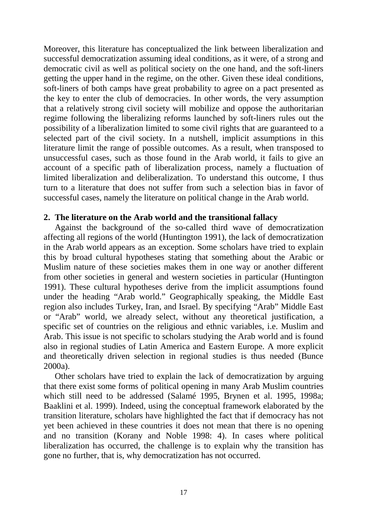Moreover, this literature has conceptualized the link between liberalization and successful democratization assuming ideal conditions, as it were, of a strong and democratic civil as well as political society on the one hand, and the soft-liners getting the upper hand in the regime, on the other. Given these ideal conditions, soft-liners of both camps have great probability to agree on a pact presented as the key to enter the club of democracies. In other words, the very assumption that a relatively strong civil society will mobilize and oppose the authoritarian regime following the liberalizing reforms launched by soft-liners rules out the possibility of a liberalization limited to some civil rights that are guaranteed to a selected part of the civil society. In a nutshell, implicit assumptions in this literature limit the range of possible outcomes. As a result, when transposed to unsuccessful cases, such as those found in the Arab world, it fails to give an account of a specific path of liberalization process, namely a fluctuation of limited liberalization and deliberalization. To understand this outcome, I thus turn to a literature that does not suffer from such a selection bias in favor of successful cases, namely the literature on political change in the Arab world.

#### **2. The literature on the Arab world and the transitional fallacy**

Against the background of the so-called third wave of democratization affecting all regions of the world (Huntington 1991), the lack of democratization in the Arab world appears as an exception. Some scholars have tried to explain this by broad cultural hypotheses stating that something about the Arabic or Muslim nature of these societies makes them in one way or another different from other societies in general and western societies in particular (Huntington 1991). These cultural hypotheses derive from the implicit assumptions found under the heading "Arab world." Geographically speaking, the Middle East region also includes Turkey, Iran, and Israel. By specifying "Arab" Middle East or "Arab" world, we already select, without any theoretical justification, a specific set of countries on the religious and ethnic variables, i.e. Muslim and Arab. This issue is not specific to scholars studying the Arab world and is found also in regional studies of Latin America and Eastern Europe. A more explicit and theoretically driven selection in regional studies is thus needed (Bunce 2000a).

Other scholars have tried to explain the lack of democratization by arguing that there exist some forms of political opening in many Arab Muslim countries which still need to be addressed (Salamé 1995, Brynen et al. 1995, 1998a; Baaklini et al. 1999). Indeed, using the conceptual framework elaborated by the transition literature, scholars have highlighted the fact that if democracy has not yet been achieved in these countries it does not mean that there is no opening and no transition (Korany and Noble 1998: 4). In cases where political liberalization has occurred, the challenge is to explain why the transition has gone no further, that is, why democratization has not occurred.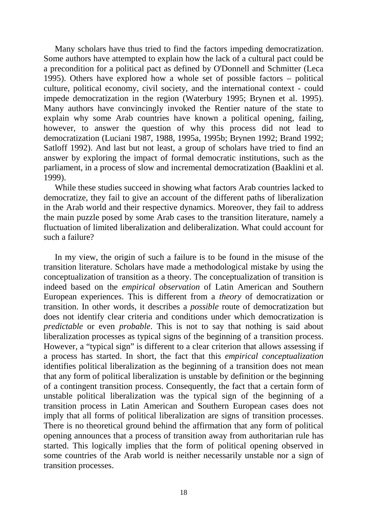Many scholars have thus tried to find the factors impeding democratization. Some authors have attempted to explain how the lack of a cultural pact could be a precondition for a political pact as defined by O'Donnell and Schmitter (Leca 1995). Others have explored how a whole set of possible factors – political culture, political economy, civil society, and the international context - could impede democratization in the region (Waterbury 1995; Brynen et al. 1995). Many authors have convincingly invoked the Rentier nature of the state to explain why some Arab countries have known a political opening, failing, however, to answer the question of why this process did not lead to democratization (Luciani 1987, 1988, 1995a, 1995b; Brynen 1992; Brand 1992; Satloff 1992). And last but not least, a group of scholars have tried to find an answer by exploring the impact of formal democratic institutions, such as the parliament, in a process of slow and incremental democratization (Baaklini et al. 1999).

While these studies succeed in showing what factors Arab countries lacked to democratize, they fail to give an account of the different paths of liberalization in the Arab world and their respective dynamics. Moreover, they fail to address the main puzzle posed by some Arab cases to the transition literature, namely a fluctuation of limited liberalization and deliberalization. What could account for such a failure?

In my view, the origin of such a failure is to be found in the misuse of the transition literature. Scholars have made a methodological mistake by using the conceptualization of transition as a theory. The conceptualization of transition is indeed based on the *empirical observation* of Latin American and Southern European experiences. This is different from a *theory* of democratization or transition. In other words, it describes a *possible* route of democratization but does not identify clear criteria and conditions under which democratization is *predictable* or even *probable*. This is not to say that nothing is said about liberalization processes as typical signs of the beginning of a transition process. However, a "typical sign" is different to a clear criterion that allows assessing if a process has started. In short, the fact that this *empirical conceptualization* identifies political liberalization as the beginning of a transition does not mean that any form of political liberalization is unstable by definition or the beginning of a contingent transition process. Consequently, the fact that a certain form of unstable political liberalization was the typical sign of the beginning of a transition process in Latin American and Southern European cases does not imply that all forms of political liberalization are signs of transition processes. There is no theoretical ground behind the affirmation that any form of political opening announces that a process of transition away from authoritarian rule has started. This logically implies that the form of political opening observed in some countries of the Arab world is neither necessarily unstable nor a sign of transition processes.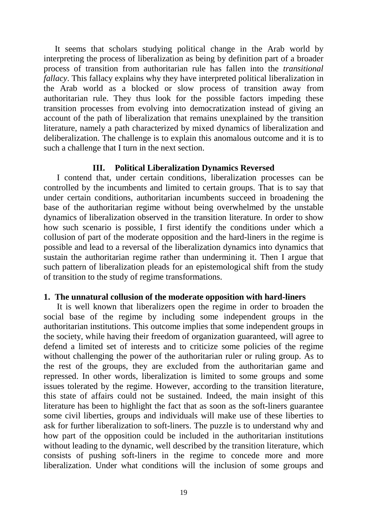It seems that scholars studying political change in the Arab world by interpreting the process of liberalization as being by definition part of a broader process of transition from authoritarian rule has fallen into the *transitional fallacy*. This fallacy explains why they have interpreted political liberalization in the Arab world as a blocked or slow process of transition away from authoritarian rule. They thus look for the possible factors impeding these transition processes from evolving into democratization instead of giving an account of the path of liberalization that remains unexplained by the transition literature, namely a path characterized by mixed dynamics of liberalization and deliberalization. The challenge is to explain this anomalous outcome and it is to such a challenge that I turn in the next section.

#### **III. Political Liberalization Dynamics Reversed**

 I contend that, under certain conditions, liberalization processes can be controlled by the incumbents and limited to certain groups. That is to say that under certain conditions, authoritarian incumbents succeed in broadening the base of the authoritarian regime without being overwhelmed by the unstable dynamics of liberalization observed in the transition literature. In order to show how such scenario is possible, I first identify the conditions under which a collusion of part of the moderate opposition and the hard-liners in the regime is possible and lead to a reversal of the liberalization dynamics into dynamics that sustain the authoritarian regime rather than undermining it. Then I argue that such pattern of liberalization pleads for an epistemological shift from the study of transition to the study of regime transformations.

#### **1. The unnatural collusion of the moderate opposition with hard-liners**

 It is well known that liberalizers open the regime in order to broaden the social base of the regime by including some independent groups in the authoritarian institutions. This outcome implies that some independent groups in the society, while having their freedom of organization guaranteed, will agree to defend a limited set of interests and to criticize some policies of the regime without challenging the power of the authoritarian ruler or ruling group. As to the rest of the groups, they are excluded from the authoritarian game and repressed. In other words, liberalization is limited to some groups and some issues tolerated by the regime. However, according to the transition literature, this state of affairs could not be sustained. Indeed, the main insight of this literature has been to highlight the fact that as soon as the soft-liners guarantee some civil liberties, groups and individuals will make use of these liberties to ask for further liberalization to soft-liners. The puzzle is to understand why and how part of the opposition could be included in the authoritarian institutions without leading to the dynamic, well described by the transition literature, which consists of pushing soft-liners in the regime to concede more and more liberalization. Under what conditions will the inclusion of some groups and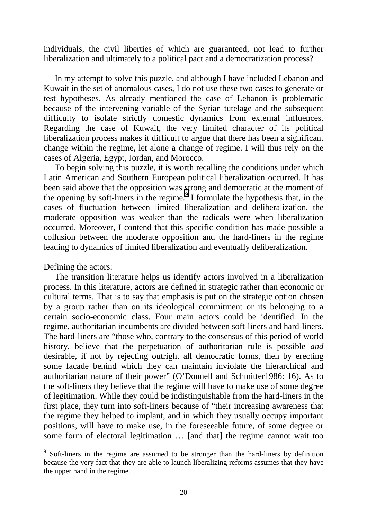individuals, the civil liberties of which are guaranteed, not lead to further liberalization and ultimately to a political pact and a democratization process?

In my attempt to solve this puzzle, and although I have included Lebanon and Kuwait in the set of anomalous cases, I do not use these two cases to generate or test hypotheses. As already mentioned the case of Lebanon is problematic because of the intervening variable of the Syrian tutelage and the subsequent difficulty to isolate strictly domestic dynamics from external influences. Regarding the case of Kuwait, the very limited character of its political liberalization process makes it difficult to argue that there has been a significant change within the regime, let alone a change of regime. I will thus rely on the cases of Algeria, Egypt, Jordan, and Morocco.

To begin solving this puzzle, it is worth recalling the conditions under which Latin American and Southern European political liberalization occurred. It has been said above that the opposition was strong and democratic at the moment of the opening by soft-liners in the regime. $9$  I formulate the hypothesis that, in the cases of fluctuation between limited liberalization and deliberalization, the moderate opposition was weaker than the radicals were when liberalization occurred. Moreover, I contend that this specific condition has made possible a collusion between the moderate opposition and the hard-liners in the regime leading to dynamics of limited liberalization and eventually deliberalization.

Defining the actors:

 $\overline{a}$ 

The transition literature helps us identify actors involved in a liberalization process. In this literature, actors are defined in strategic rather than economic or cultural terms. That is to say that emphasis is put on the strategic option chosen by a group rather than on its ideological commitment or its belonging to a certain socio-economic class. Four main actors could be identified. In the regime, authoritarian incumbents are divided between soft-liners and hard-liners. The hard-liners are "those who, contrary to the consensus of this period of world history, believe that the perpetuation of authoritarian rule is possible *and* desirable, if not by rejecting outright all democratic forms, then by erecting some facade behind which they can maintain inviolate the hierarchical and authoritarian nature of their power" (O'Donnell and Schmitter1986: 16). As to the soft-liners they believe that the regime will have to make use of some degree of legitimation. While they could be indistinguishable from the hard-liners in the first place, they turn into soft-liners because of "their increasing awareness that the regime they helped to implant, and in which they usually occupy important positions, will have to make use, in the foreseeable future, of some degree or some form of electoral legitimation … [and that] the regime cannot wait too

<sup>&</sup>lt;sup>9</sup> Soft-liners in the regime are assumed to be stronger than the hard-liners by definition because the very fact that they are able to launch liberalizing reforms assumes that they have the upper hand in the regime.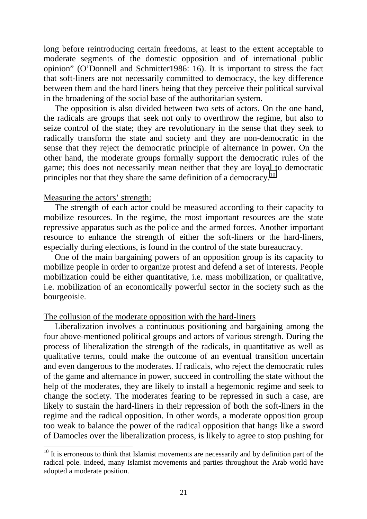long before reintroducing certain freedoms, at least to the extent acceptable to moderate segments of the domestic opposition and of international public opinion" (O'Donnell and Schmitter1986: 16). It is important to stress the fact that soft-liners are not necessarily committed to democracy, the key difference between them and the hard liners being that they perceive their political survival in the broadening of the social base of the authoritarian system.

The opposition is also divided between two sets of actors. On the one hand, the radicals are groups that seek not only to overthrow the regime, but also to seize control of the state; they are revolutionary in the sense that they seek to radically transform the state and society and they are non-democratic in the sense that they reject the democratic principle of alternance in power. On the other hand, the moderate groups formally support the democratic rules of the game; this does not necessarily mean neither that they are loyal to democratic principles nor that they share the same definition of a democracy.<sup>10</sup>

#### Measuring the actors' strength:

 $\overline{a}$ 

The strength of each actor could be measured according to their capacity to mobilize resources. In the regime, the most important resources are the state repressive apparatus such as the police and the armed forces. Another important resource to enhance the strength of either the soft-liners or the hard-liners, especially during elections, is found in the control of the state bureaucracy.

One of the main bargaining powers of an opposition group is its capacity to mobilize people in order to organize protest and defend a set of interests. People mobilization could be either quantitative, i.e. mass mobilization, or qualitative, i.e. mobilization of an economically powerful sector in the society such as the bourgeoisie.

#### The collusion of the moderate opposition with the hard-liners

Liberalization involves a continuous positioning and bargaining among the four above-mentioned political groups and actors of various strength. During the process of liberalization the strength of the radicals, in quantitative as well as qualitative terms, could make the outcome of an eventual transition uncertain and even dangerous to the moderates. If radicals, who reject the democratic rules of the game and alternance in power, succeed in controlling the state without the help of the moderates, they are likely to install a hegemonic regime and seek to change the society. The moderates fearing to be repressed in such a case, are likely to sustain the hard-liners in their repression of both the soft-liners in the regime and the radical opposition. In other words, a moderate opposition group too weak to balance the power of the radical opposition that hangs like a sword of Damocles over the liberalization process, is likely to agree to stop pushing for

 $10$  It is erroneous to think that Islamist movements are necessarily and by definition part of the radical pole. Indeed, many Islamist movements and parties throughout the Arab world have adopted a moderate position.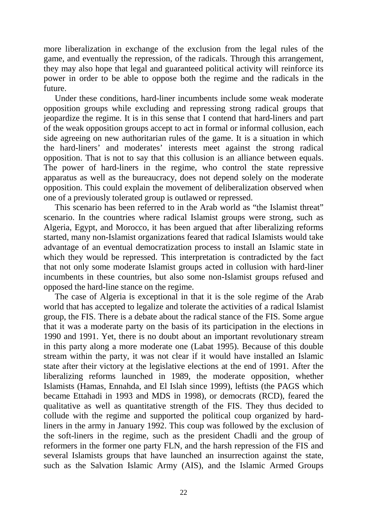more liberalization in exchange of the exclusion from the legal rules of the game, and eventually the repression, of the radicals. Through this arrangement, they may also hope that legal and guaranteed political activity will reinforce its power in order to be able to oppose both the regime and the radicals in the future.

Under these conditions, hard-liner incumbents include some weak moderate opposition groups while excluding and repressing strong radical groups that jeopardize the regime. It is in this sense that I contend that hard-liners and part of the weak opposition groups accept to act in formal or informal collusion, each side agreeing on new authoritarian rules of the game. It is a situation in which the hard-liners' and moderates' interests meet against the strong radical opposition. That is not to say that this collusion is an alliance between equals. The power of hard-liners in the regime, who control the state repressive apparatus as well as the bureaucracy, does not depend solely on the moderate opposition. This could explain the movement of deliberalization observed when one of a previously tolerated group is outlawed or repressed.

This scenario has been referred to in the Arab world as "the Islamist threat" scenario. In the countries where radical Islamist groups were strong, such as Algeria, Egypt, and Morocco, it has been argued that after liberalizing reforms started, many non-Islamist organizations feared that radical Islamists would take advantage of an eventual democratization process to install an Islamic state in which they would be repressed. This interpretation is contradicted by the fact that not only some moderate Islamist groups acted in collusion with hard-liner incumbents in these countries, but also some non-Islamist groups refused and opposed the hard-line stance on the regime.

The case of Algeria is exceptional in that it is the sole regime of the Arab world that has accepted to legalize and tolerate the activities of a radical Islamist group, the FIS. There is a debate about the radical stance of the FIS. Some argue that it was a moderate party on the basis of its participation in the elections in 1990 and 1991. Yet, there is no doubt about an important revolutionary stream in this party along a more moderate one (Labat 1995). Because of this double stream within the party, it was not clear if it would have installed an Islamic state after their victory at the legislative elections at the end of 1991. After the liberalizing reforms launched in 1989, the moderate opposition, whether Islamists (Hamas, Ennahda, and El Islah since 1999), leftists (the PAGS which became Ettahadi in 1993 and MDS in 1998), or democrats (RCD), feared the qualitative as well as quantitative strength of the FIS. They thus decided to collude with the regime and supported the political coup organized by hardliners in the army in January 1992. This coup was followed by the exclusion of the soft-liners in the regime, such as the president Chadli and the group of reformers in the former one party FLN, and the harsh repression of the FIS and several Islamists groups that have launched an insurrection against the state, such as the Salvation Islamic Army (AIS), and the Islamic Armed Groups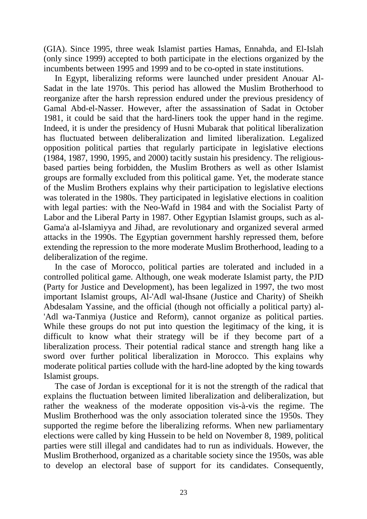(GIA). Since 1995, three weak Islamist parties Hamas, Ennahda, and El-Islah (only since 1999) accepted to both participate in the elections organized by the incumbents between 1995 and 1999 and to be co-opted in state institutions.

In Egypt, liberalizing reforms were launched under president Anouar Al-Sadat in the late 1970s. This period has allowed the Muslim Brotherhood to reorganize after the harsh repression endured under the previous presidency of Gamal Abd-el-Nasser. However, after the assassination of Sadat in October 1981, it could be said that the hard-liners took the upper hand in the regime. Indeed, it is under the presidency of Husni Mubarak that political liberalization has fluctuated between deliberalization and limited liberalization. Legalized opposition political parties that regularly participate in legislative elections (1984, 1987, 1990, 1995, and 2000) tacitly sustain his presidency. The religiousbased parties being forbidden, the Muslim Brothers as well as other Islamist groups are formally excluded from this political game. Yet, the moderate stance of the Muslim Brothers explains why their participation to legislative elections was tolerated in the 1980s. They participated in legislative elections in coalition with legal parties: with the Neo-Wafd in 1984 and with the Socialist Party of Labor and the Liberal Party in 1987. Other Egyptian Islamist groups, such as al-Gama'a al-Islamiyya and Jihad, are revolutionary and organized several armed attacks in the 1990s. The Egyptian government harshly repressed them, before extending the repression to the more moderate Muslim Brotherhood, leading to a deliberalization of the regime.

In the case of Morocco, political parties are tolerated and included in a controlled political game. Although, one weak moderate Islamist party, the PJD (Party for Justice and Development), has been legalized in 1997, the two most important Islamist groups, Al-'Adl wal-Ihsane (Justice and Charity) of Sheikh Abdesalam Yassine, and the official (though not officially a political party) al- 'Adl wa-Tanmiya (Justice and Reform), cannot organize as political parties. While these groups do not put into question the legitimacy of the king, it is difficult to know what their strategy will be if they become part of a liberalization process. Their potential radical stance and strength hang like a sword over further political liberalization in Morocco. This explains why moderate political parties collude with the hard-line adopted by the king towards Islamist groups.

The case of Jordan is exceptional for it is not the strength of the radical that explains the fluctuation between limited liberalization and deliberalization, but rather the weakness of the moderate opposition vis-à-vis the regime. The Muslim Brotherhood was the only association tolerated since the 1950s. They supported the regime before the liberalizing reforms. When new parliamentary elections were called by king Hussein to be held on November 8, 1989, political parties were still illegal and candidates had to run as individuals. However, the Muslim Brotherhood, organized as a charitable society since the 1950s, was able to develop an electoral base of support for its candidates. Consequently,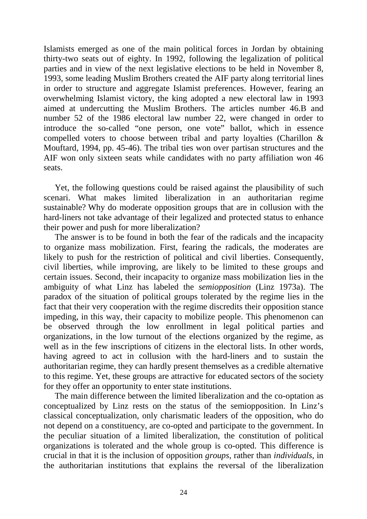Islamists emerged as one of the main political forces in Jordan by obtaining thirty-two seats out of eighty. In 1992, following the legalization of political parties and in view of the next legislative elections to be held in November 8, 1993, some leading Muslim Brothers created the AIF party along territorial lines in order to structure and aggregate Islamist preferences. However, fearing an overwhelming Islamist victory, the king adopted a new electoral law in 1993 aimed at undercutting the Muslim Brothers. The articles number 46.B and number 52 of the 1986 electoral law number 22, were changed in order to introduce the so-called "one person, one vote" ballot, which in essence compelled voters to choose between tribal and party loyalties (Charillon & Mouftard, 1994, pp. 45-46). The tribal ties won over partisan structures and the AIF won only sixteen seats while candidates with no party affiliation won 46 seats.

Yet, the following questions could be raised against the plausibility of such scenari. What makes limited liberalization in an authoritarian regime sustainable? Why do moderate opposition groups that are in collusion with the hard-liners not take advantage of their legalized and protected status to enhance their power and push for more liberalization?

The answer is to be found in both the fear of the radicals and the incapacity to organize mass mobilization. First, fearing the radicals, the moderates are likely to push for the restriction of political and civil liberties. Consequently, civil liberties, while improving, are likely to be limited to these groups and certain issues. Second, their incapacity to organize mass mobilization lies in the ambiguity of what Linz has labeled the *semiopposition* (Linz 1973a). The paradox of the situation of political groups tolerated by the regime lies in the fact that their very cooperation with the regime discredits their opposition stance impeding, in this way, their capacity to mobilize people. This phenomenon can be observed through the low enrollment in legal political parties and organizations, in the low turnout of the elections organized by the regime, as well as in the few inscriptions of citizens in the electoral lists. In other words, having agreed to act in collusion with the hard-liners and to sustain the authoritarian regime, they can hardly present themselves as a credible alternative to this regime. Yet, these groups are attractive for educated sectors of the society for they offer an opportunity to enter state institutions.

The main difference between the limited liberalization and the co-optation as conceptualized by Linz rests on the status of the semiopposition. In Linz's classical conceptualization, only charismatic leaders of the opposition, who do not depend on a constituency, are co-opted and participate to the government. In the peculiar situation of a limited liberalization, the constitution of political organizations is tolerated and the whole group is co-opted. This difference is crucial in that it is the inclusion of opposition *groups*, rather than *individuals*, in the authoritarian institutions that explains the reversal of the liberalization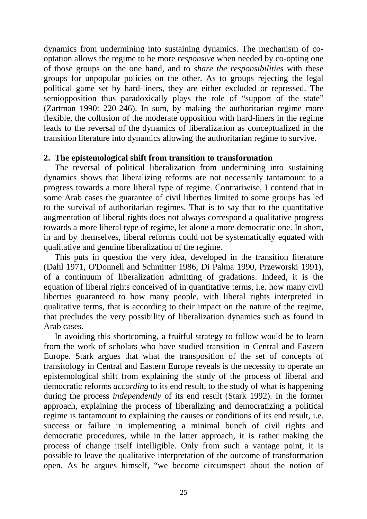dynamics from undermining into sustaining dynamics. The mechanism of cooptation allows the regime to be more *responsive* when needed by co-opting one of those groups on the one hand, and to *share the responsibilities* with these groups for unpopular policies on the other. As to groups rejecting the legal political game set by hard-liners, they are either excluded or repressed. The semiopposition thus paradoxically plays the role of "support of the state" (Zartman 1990: 220-246). In sum, by making the authoritarian regime more flexible, the collusion of the moderate opposition with hard-liners in the regime leads to the reversal of the dynamics of liberalization as conceptualized in the transition literature into dynamics allowing the authoritarian regime to survive.

#### **2. The epistemological shift from transition to transformation**

The reversal of political liberalization from undermining into sustaining dynamics shows that liberalizing reforms are not necessarily tantamount to a progress towards a more liberal type of regime. Contrariwise, I contend that in some Arab cases the guarantee of civil liberties limited to some groups has led to the survival of authoritarian regimes. That is to say that to the quantitative augmentation of liberal rights does not always correspond a qualitative progress towards a more liberal type of regime, let alone a more democratic one. In short, in and by themselves, liberal reforms could not be systematically equated with qualitative and genuine liberalization of the regime.

This puts in question the very idea, developed in the transition literature (Dahl 1971, O'Donnell and Schmitter 1986, Di Palma 1990, Przeworski 1991), of a continuum of liberalization admitting of gradations. Indeed, it is the equation of liberal rights conceived of in quantitative terms, i.e. how many civil liberties guaranteed to how many people, with liberal rights interpreted in qualitative terms, that is according to their impact on the nature of the regime, that precludes the very possibility of liberalization dynamics such as found in Arab cases.

In avoiding this shortcoming, a fruitful strategy to follow would be to learn from the work of scholars who have studied transition in Central and Eastern Europe. Stark argues that what the transposition of the set of concepts of transitology in Central and Eastern Europe reveals is the necessity to operate an epistemological shift from explaining the study of the process of liberal and democratic reforms *according* to its end result, to the study of what is happening during the process *independently* of its end result (Stark 1992). In the former approach, explaining the process of liberalizing and democratizing a political regime is tantamount to explaining the causes or conditions of its end result, i.e. success or failure in implementing a minimal bunch of civil rights and democratic procedures, while in the latter approach, it is rather making the process of change itself intelligible. Only from such a vantage point, it is possible to leave the qualitative interpretation of the outcome of transformation open. As he argues himself, "we become circumspect about the notion of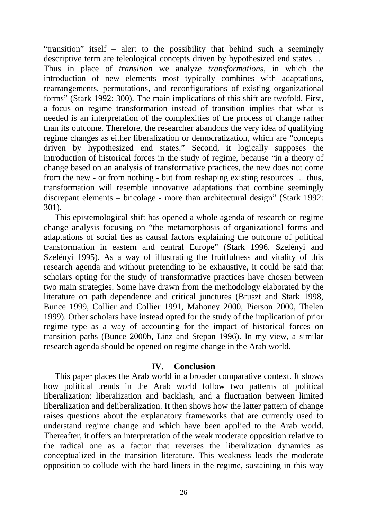"transition" itself – alert to the possibility that behind such a seemingly descriptive term are teleological concepts driven by hypothesized end states … Thus in place of *transition* we analyze *transformations*, in which the introduction of new elements most typically combines with adaptations, rearrangements, permutations, and reconfigurations of existing organizational forms" (Stark 1992: 300). The main implications of this shift are twofold. First, a focus on regime transformation instead of transition implies that what is needed is an interpretation of the complexities of the process of change rather than its outcome. Therefore, the researcher abandons the very idea of qualifying regime changes as either liberalization or democratization, which are "concepts driven by hypothesized end states." Second, it logically supposes the introduction of historical forces in the study of regime, because "in a theory of change based on an analysis of transformative practices, the new does not come from the new - or from nothing - but from reshaping existing resources … thus, transformation will resemble innovative adaptations that combine seemingly discrepant elements – bricolage - more than architectural design" (Stark 1992: 301).

This epistemological shift has opened a whole agenda of research on regime change analysis focusing on "the metamorphosis of organizational forms and adaptations of social ties as causal factors explaining the outcome of political transformation in eastern and central Europe" (Stark 1996, Szelényi and Szelényi 1995). As a way of illustrating the fruitfulness and vitality of this research agenda and without pretending to be exhaustive, it could be said that scholars opting for the study of transformative practices have chosen between two main strategies. Some have drawn from the methodology elaborated by the literature on path dependence and critical junctures (Bruszt and Stark 1998, Bunce 1999, Collier and Collier 1991, Mahoney 2000, Pierson 2000, Thelen 1999). Other scholars have instead opted for the study of the implication of prior regime type as a way of accounting for the impact of historical forces on transition paths (Bunce 2000b, Linz and Stepan 1996). In my view, a similar research agenda should be opened on regime change in the Arab world.

#### **IV. Conclusion**

This paper places the Arab world in a broader comparative context. It shows how political trends in the Arab world follow two patterns of political liberalization: liberalization and backlash, and a fluctuation between limited liberalization and deliberalization. It then shows how the latter pattern of change raises questions about the explanatory frameworks that are currently used to understand regime change and which have been applied to the Arab world. Thereafter, it offers an interpretation of the weak moderate opposition relative to the radical one as a factor that reverses the liberalization dynamics as conceptualized in the transition literature. This weakness leads the moderate opposition to collude with the hard-liners in the regime, sustaining in this way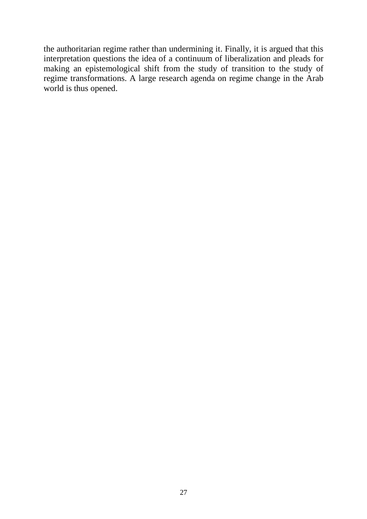the authoritarian regime rather than undermining it. Finally, it is argued that this interpretation questions the idea of a continuum of liberalization and pleads for making an epistemological shift from the study of transition to the study of regime transformations. A large research agenda on regime change in the Arab world is thus opened.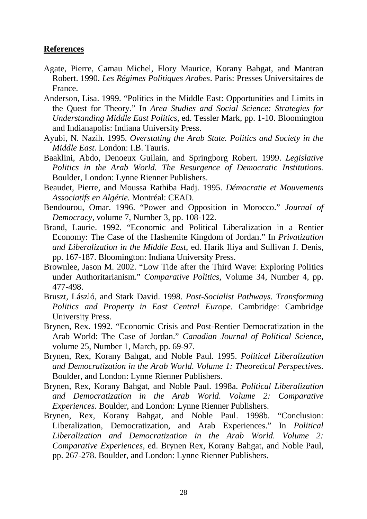#### **References**

- Agate, Pierre, Camau Michel, Flory Maurice, Korany Bahgat, and Mantran Robert. 1990. *Les Régimes Politiques Arabes*. Paris: Presses Universitaires de France.
- Anderson, Lisa. 1999. "Politics in the Middle East: Opportunities and Limits in the Quest for Theory." In *Area Studies and Social Science: Strategies for Understanding Middle East Politics*, ed. Tessler Mark, pp. 1-10. Bloomington and Indianapolis: Indiana University Press.
- Ayubi, N. Nazih. 1995. *Overstating the Arab State. Politics and Society in the Middle East.* London: I.B. Tauris.
- Baaklini, Abdo, Denoeux Guilain, and Springborg Robert. 1999. *Legislative Politics in the Arab World. The Resurgence of Democratic Institutions.* Boulder, London: Lynne Rienner Publishers.
- Beaudet, Pierre, and Moussa Rathiba Hadj. 1995. *Démocratie et Mouvements Associatifs en Algérie.* Montréal: CEAD.
- Bendourou, Omar. 1996. "Power and Opposition in Morocco." *Journal of Democracy*, volume 7, Number 3, pp. 108-122.
- Brand, Laurie. 1992. "Economic and Political Liberalization in a Rentier Economy: The Case of the Hashemite Kingdom of Jordan." In *Privatization and Liberalization in the Middle East*, ed. Harik Iliya and Sullivan J. Denis, pp. 167-187. Bloomington: Indiana University Press.
- Brownlee, Jason M. 2002. "Low Tide after the Third Wave: Exploring Politics under Authoritarianism." *Comparative Politics*, Volume 34, Number 4, pp. 477-498.
- Bruszt, László, and Stark David. 1998. *Post-Socialist Pathways. Transforming Politics and Property in East Central Europe.* Cambridge: Cambridge University Press.
- Brynen, Rex. 1992. "Economic Crisis and Post-Rentier Democratization in the Arab World: The Case of Jordan." *Canadian Journal of Political Science,* volume 25, Number 1, March, pp. 69-97.
- Brynen, Rex, Korany Bahgat, and Noble Paul. 1995. *Political Liberalization and Democratization in the Arab World. Volume 1: Theoretical Perspectives.* Boulder, and London: Lynne Rienner Publishers.
- Brynen, Rex, Korany Bahgat, and Noble Paul. 1998a. *Political Liberalization and Democratization in the Arab World. Volume 2: Comparative Experiences.* Boulder, and London: Lynne Rienner Publishers.
- Brynen, Rex, Korany Bahgat, and Noble Paul. 1998b. "Conclusion: Liberalization, Democratization, and Arab Experiences." In *Political Liberalization and Democratization in the Arab World. Volume 2: Comparative Experiences,* ed. Brynen Rex, Korany Bahgat, and Noble Paul, pp. 267-278. Boulder, and London: Lynne Rienner Publishers.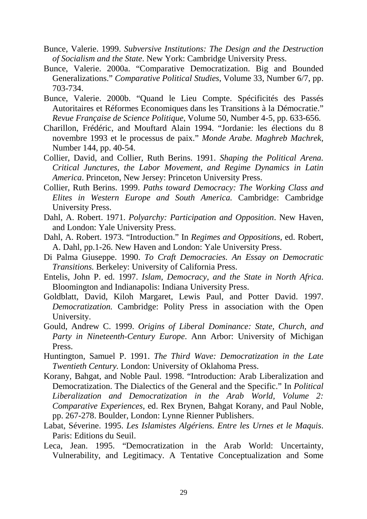- Bunce, Valerie. 1999. *Subversive Institutions: The Design and the Destruction of Socialism and the State*. New York: Cambridge University Press.
- Bunce, Valerie. 2000a. "Comparative Democratization. Big and Bounded Generalizations." *Comparative Political Studies*, Volume 33, Number 6/7, pp. 703-734.
- Bunce, Valerie. 2000b. "Quand le Lieu Compte. Spécificités des Passés Autoritaires et Réformes Economiques dans les Transitions à la Démocratie." *Revue Française de Science Politique*, Volume 50, Number 4-5, pp. 633-656.
- Charillon, Frédéric, and Mouftard Alain 1994. "Jordanie: les élections du 8 novembre 1993 et le processus de paix." *Monde Arabe. Maghreb Machrek*, Number 144, pp. 40-54.
- Collier, David, and Collier, Ruth Berins. 1991. *Shaping the Political Arena. Critical Junctures, the Labor Movement, and Regime Dynamics in Latin America*. Princeton, New Jersey: Princeton University Press.
- Collier, Ruth Berins. 1999. *Paths toward Democracy: The Working Class and Elites in Western Europe and South America.* Cambridge: Cambridge University Press.
- Dahl, A. Robert. 1971. *Polyarchy: Participation and Opposition*. New Haven, and London: Yale University Press.
- Dahl, A. Robert. 1973. "Introduction." In *Regimes and Oppositions,* ed. Robert, A. Dahl, pp.1-26. New Haven and London: Yale University Press.
- Di Palma Giuseppe. 1990. *To Craft Democracies. An Essay on Democratic Transitions.* Berkeley: University of California Press.
- Entelis, John P. ed. 1997. *Islam, Democracy, and the State in North Africa*. Bloomington and Indianapolis: Indiana University Press.
- Goldblatt, David, Kiloh Margaret, Lewis Paul, and Potter David. 1997. *Democratization.* Cambridge: Polity Press in association with the Open University.
- Gould, Andrew C. 1999. *Origins of Liberal Dominance: State, Church, and Party in Nineteenth-Century Europe*. Ann Arbor: University of Michigan Press.
- Huntington, Samuel P. 1991. *The Third Wave: Democratization in the Late Twentieth Century.* London: University of Oklahoma Press.
- Korany, Bahgat, and Noble Paul. 1998. "Introduction: Arab Liberalization and Democratization. The Dialectics of the General and the Specific." In *Political Liberalization and Democratization in the Arab World, Volume 2: Comparative Experiences,* ed. Rex Brynen, Bahgat Korany, and Paul Noble, pp. 267-278. Boulder, London: Lynne Rienner Publishers.
- Labat, Séverine. 1995. *Les Islamistes Algériens. Entre les Urnes et le Maquis*. Paris: Editions du Seuil.
- Leca, Jean. 1995. "Democratization in the Arab World: Uncertainty, Vulnerability, and Legitimacy. A Tentative Conceptualization and Some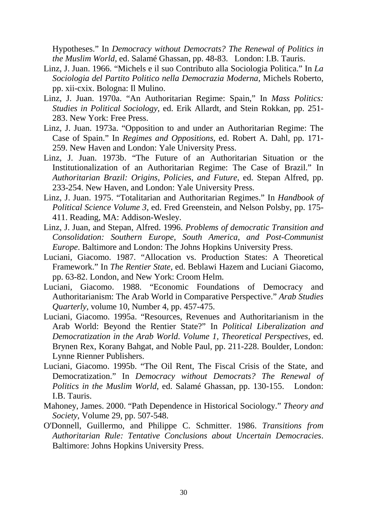Hypotheses." In *Democracy without Democrats? The Renewal of Politics in the Muslim World*, ed. Salamé Ghassan, pp. 48-83. London: I.B. Tauris.

- Linz, J. Juan. 1966. "Michels e il suo Contributo alla Sociologia Politica." In *La Sociologia del Partito Politico nella Democrazia Moderna,* Michels Roberto, pp. xii-cxix. Bologna: Il Mulino.
- Linz, J. Juan. 1970a. "An Authoritarian Regime: Spain," In *Mass Politics: Studies in Political Sociology,* ed. Erik Allardt, and Stein Rokkan, pp. 251- 283. New York: Free Press.
- Linz, J. Juan. 1973a. "Opposition to and under an Authoritarian Regime: The Case of Spain." In *Regimes and Oppositions,* ed. Robert A. Dahl*,* pp. 171- 259. New Haven and London: Yale University Press.
- Linz, J. Juan. 1973b. "The Future of an Authoritarian Situation or the Institutionalization of an Authoritarian Regime: The Case of Brazil." In *Authoritarian Brazil: Origins, Policies, and Future,* ed. Stepan Alfred, pp. 233-254. New Haven, and London: Yale University Press.
- Linz, J. Juan. 1975. "Totalitarian and Authoritarian Regimes." In *Handbook of Political Science Volume 3,* ed. Fred Greenstein, and Nelson Polsby, pp. 175- 411. Reading, MA: Addison-Wesley.
- Linz, J. Juan, and Stepan, Alfred. 1996. *Problems of democratic Transition and Consolidation: Southern Europe, South America, and Post-Communist Europe*. Baltimore and London: The Johns Hopkins University Press.
- Luciani, Giacomo. 1987. "Allocation vs. Production States: A Theoretical Framework." In *The Rentier State*, ed. Beblawi Hazem and Luciani Giacomo, pp. 63-82. London, and New York: Croom Helm.
- Luciani, Giacomo. 1988. "Economic Foundations of Democracy and Authoritarianism: The Arab World in Comparative Perspective." *Arab Studies Quarterly,* volume 10, Number 4, pp. 457-475.
- Luciani, Giacomo. 1995a. "Resources, Revenues and Authoritarianism in the Arab World: Beyond the Rentier State?" In *Political Liberalization and Democratization in the Arab World*. *Volume 1, Theoretical Perspectives,* ed. Brynen Rex, Korany Bahgat, and Noble Paul, pp. 211-228. Boulder, London: Lynne Rienner Publishers.
- Luciani, Giacomo. 1995b. "The Oil Rent, The Fiscal Crisis of the State, and Democratization." In *Democracy without Democrats? The Renewal of Politics in the Muslim World*, ed. Salamé Ghassan, pp. 130-155. London: I.B. Tauris.
- Mahoney, James. 2000. "Path Dependence in Historical Sociology." *Theory and Society*, Volume 29, pp. 507-548.
- O'Donnell, Guillermo, and Philippe C. Schmitter. 1986. *Transitions from Authoritarian Rule: Tentative Conclusions about Uncertain Democracies*. Baltimore: Johns Hopkins University Press.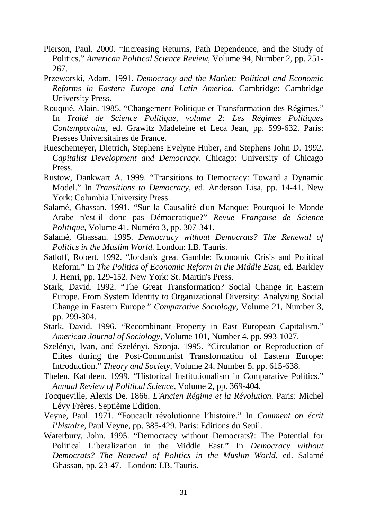- Pierson, Paul. 2000. "Increasing Returns, Path Dependence, and the Study of Politics." *American Political Science Review*, Volume 94, Number 2, pp. 251- 267.
- Przeworski, Adam. 1991. *Democracy and the Market: Political and Economic Reforms in Eastern Europe and Latin America*. Cambridge: Cambridge University Press.
- Rouquié, Alain. 1985. "Changement Politique et Transformation des Régimes." In *Traité de Science Politique, volume 2: Les Régimes Politiques Contemporains*, ed. Grawitz Madeleine et Leca Jean, pp. 599-632. Paris: Presses Universitaires de France.
- Rueschemeyer, Dietrich, Stephens Evelyne Huber, and Stephens John D. 1992. *Capitalist Development and Democracy*. Chicago: University of Chicago Press.
- Rustow, Dankwart A. 1999. "Transitions to Democracy: Toward a Dynamic Model." In *Transitions to Democracy*, ed. Anderson Lisa, pp. 14-41. New York: Columbia University Press.
- Salamé, Ghassan. 1991. "Sur la Causalité d'un Manque: Pourquoi le Monde Arabe n'est-il donc pas Démocratique?" *Revue Française de Science Politique,* Volume 41, Numéro 3, pp. 307-341.
- Salamé, Ghassan. 1995. *Democracy without Democrats? The Renewal of Politics in the Muslim World.* London: I.B. Tauris.
- Satloff, Robert. 1992. "Jordan's great Gamble: Economic Crisis and Political Reform." In *The Politics of Economic Reform in the Middle East*, ed. Barkley J. Henri, pp. 129-152. New York: St. Martin's Press.
- Stark, David. 1992. "The Great Transformation? Social Change in Eastern Europe. From System Identity to Organizational Diversity: Analyzing Social Change in Eastern Europe." *Comparative Sociology*, Volume 21, Number 3, pp. 299-304.
- Stark, David. 1996. "Recombinant Property in East European Capitalism." *American Journal of Sociology*, Volume 101, Number 4, pp. 993-1027.
- Szelényi, Ivan, and Szelényi, Szonja. 1995. "Circulation or Reproduction of Elites during the Post-Communist Transformation of Eastern Europe: Introduction." *Theory and Society*, Volume 24, Number 5, pp. 615-638.
- Thelen, Kathleen. 1999. "Historical Institutionalism in Comparative Politics." *Annual Review of Political Science*, Volume 2, pp. 369-404.
- Tocqueville, Alexis De. 1866. *L'Ancien Régime et la Révolution.* Paris: Michel Lévy Frères. Septième Edition.
- Veyne, Paul. 1971. "Foucault révolutionne l'histoire." In *Comment on écrit l'histoire*, Paul Veyne, pp. 385-429. Paris: Editions du Seuil.
- Waterbury, John. 1995. "Democracy without Democrats?: The Potential for Political Liberalization in the Middle East." In *Democracy without Democrats? The Renewal of Politics in the Muslim World*, ed. Salamé Ghassan, pp. 23-47. London: I.B. Tauris.